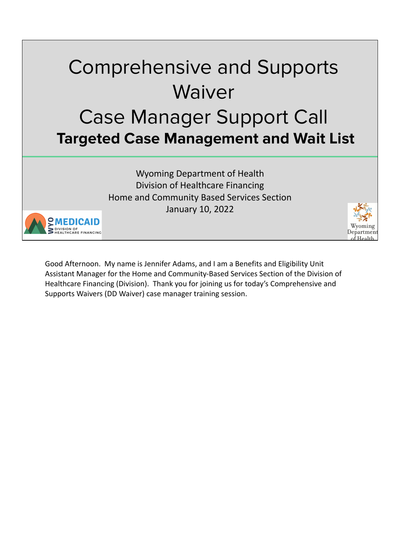

Good Afternoon. My name is Jennifer Adams, and I am a Benefits and Eligibility Unit Assistant Manager for the Home and Community-Based Services Section of the Division of Healthcare Financing (Division). Thank you for joining us for today's Comprehensive and Supports Waivers (DD Waiver) case manager training session.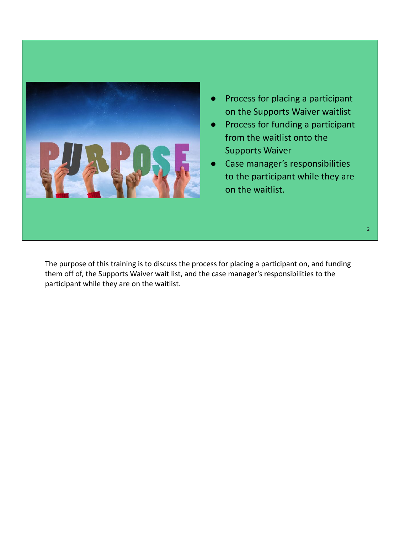

- Process for placing a participant on the Supports Waiver waitlist
- Process for funding a participant from the waitlist onto the Supports Waiver
- **Case manager's responsibilities** to the participant while they are on the waitlist.

The purpose of this training is to discuss the process for placing a participant on, and funding them off of, the Supports Waiver wait list, and the case manager's responsibilities to the participant while they are on the waitlist.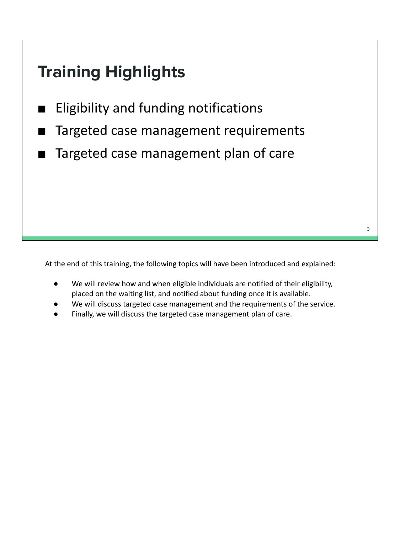#### **Training Highlights**

- Eligibility and funding notifications
- Targeted case management requirements
- Targeted case management plan of care

At the end of this training, the following topics will have been introduced and explained:

- We will review how and when eligible individuals are notified of their eligibility, placed on the waiting list, and notified about funding once it is available.
- We will discuss targeted case management and the requirements of the service.
- Finally, we will discuss the targeted case management plan of care.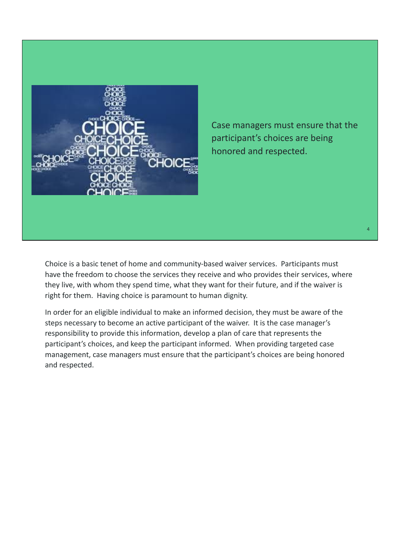

Case managers must ensure that the participant's choices are being honored and respected.

4

Choice is a basic tenet of home and community-based waiver services. Participants must have the freedom to choose the services they receive and who provides their services, where they live, with whom they spend time, what they want for their future, and if the waiver is right for them. Having choice is paramount to human dignity.

In order for an eligible individual to make an informed decision, they must be aware of the steps necessary to become an active participant of the waiver. It is the case manager's responsibility to provide this information, develop a plan of care that represents the participant's choices, and keep the participant informed. When providing targeted case management, case managers must ensure that the participant's choices are being honored and respected.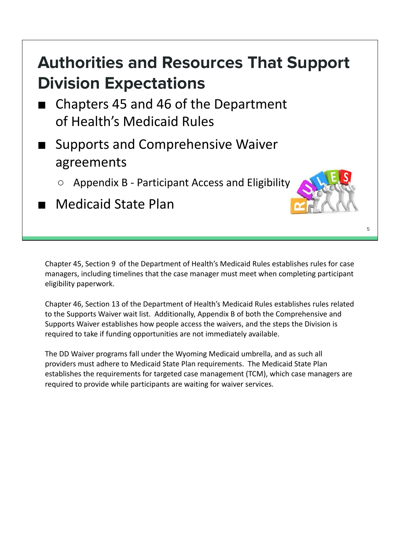### **Authorities and Resources That Support Division Expectations**

- Chapters 45 and 46 of the Department of Health's Medicaid Rules
- Supports and Comprehensive Waiver agreements
	- Appendix B Participant Access and Eligibility
- Medicaid State Plan

Chapter 45, Section 9 of the Department of Health's Medicaid Rules establishes rules for case managers, including timelines that the case manager must meet when completing participant eligibility paperwork.

Chapter 46, Section 13 of the Department of Health's Medicaid Rules establishes rules related to the Supports Waiver wait list. Additionally, Appendix B of both the Comprehensive and Supports Waiver establishes how people access the waivers, and the steps the Division is required to take if funding opportunities are not immediately available.

The DD Waiver programs fall under the Wyoming Medicaid umbrella, and as such all providers must adhere to Medicaid State Plan requirements. The Medicaid State Plan establishes the requirements for targeted case management (TCM), which case managers are required to provide while participants are waiting for waiver services.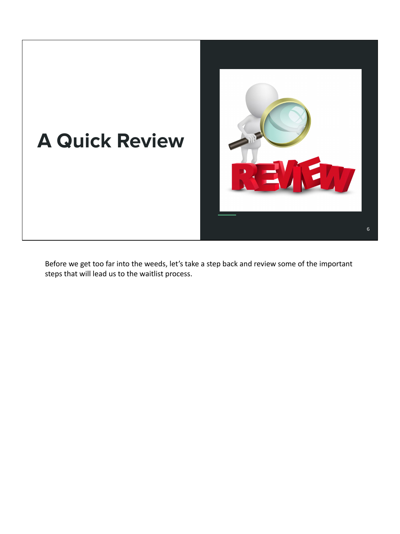

Before we get too far into the weeds, let's take a step back and review some of the important steps that will lead us to the waitlist process.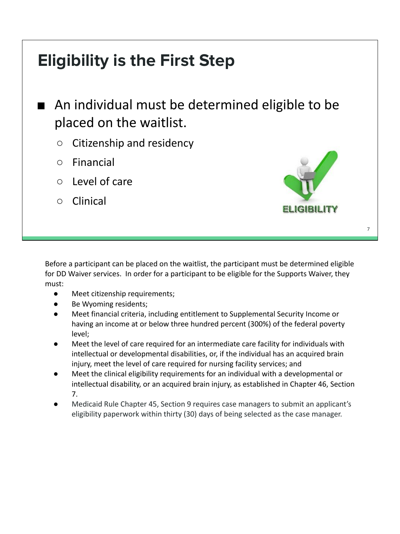### **Eligibility is the First Step**

- An individual must be determined eligible to be placed on the waitlist.
	- Citizenship and residency
	- Financial
	- Level of care
	- Clinical



7

Before a participant can be placed on the waitlist, the participant must be determined eligible for DD Waiver services. In order for a participant to be eligible for the Supports Waiver, they must:

- Meet citizenship requirements;
- Be Wyoming residents;
- Meet financial criteria, including entitlement to Supplemental Security Income or having an income at or below three hundred percent (300%) of the federal poverty level;
- Meet the level of care required for an intermediate care facility for individuals with intellectual or developmental disabilities, or, if the individual has an acquired brain injury, meet the level of care required for nursing facility services; and
- Meet the clinical eligibility requirements for an individual with a developmental or intellectual disability, or an acquired brain injury, as established in Chapter 46, Section 7.
- Medicaid Rule Chapter 45, Section 9 requires case managers to submit an applicant's eligibility paperwork within thirty (30) days of being selected as the case manager.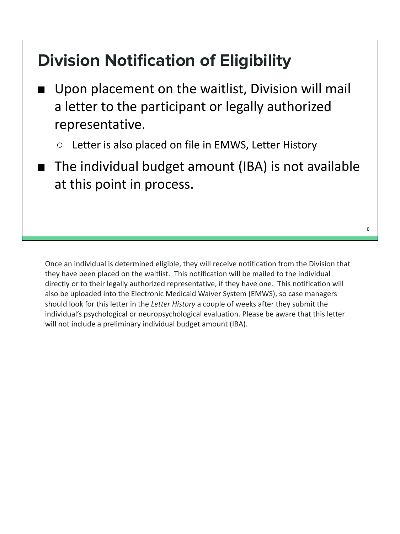#### **Division Notification of Eligibility**

- Upon placement on the waitlist, Division will mail a letter to the participant or legally authorized representative.
	- Letter is also placed on file in EMWS, Letter History
- The individual budget amount (IBA) is not available at this point in process.

8

Once an individual is determined eligible, they will receive notification from the Division that they have been placed on the waitlist. This notification will be mailed to the individual directly or to their legally authorized representative, if they have one. This notification will also be uploaded into the Electronic Medicaid Waiver System (EMWS), so case managers should look for this letter in the *Letter History* a couple of weeks after they submit the individual's psychological or neuropsychological evaluation. Please be aware that this letter will not include a preliminary individual budget amount (IBA).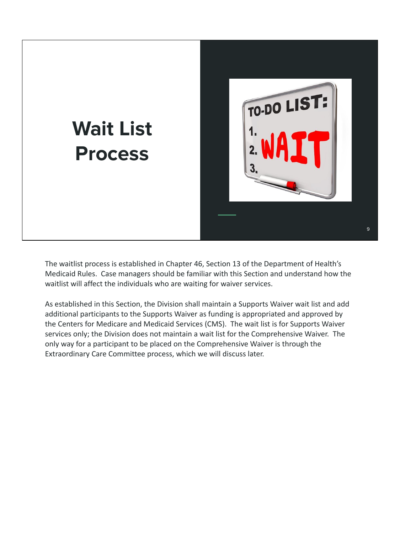

The waitlist process is established in Chapter 46, Section 13 of the Department of Health's Medicaid Rules. Case managers should be familiar with this Section and understand how the waitlist will affect the individuals who are waiting for waiver services.

As established in this Section, the Division shall maintain a Supports Waiver wait list and add additional participants to the Supports Waiver as funding is appropriated and approved by the Centers for Medicare and Medicaid Services (CMS). The wait list is for Supports Waiver services only; the Division does not maintain a wait list for the Comprehensive Waiver. The only way for a participant to be placed on the Comprehensive Waiver is through the Extraordinary Care Committee process, which we will discuss later.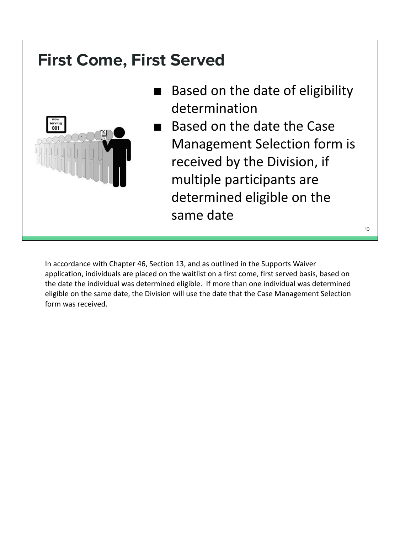#### **First Come, First Served** ■ Based on the date of eligibility determination  $rac{1}{2}$ <br> $rac{1}{2}$ Based on the date the Case Management Selection form is received by the Division, if multiple participants are determined eligible on the same date

In accordance with Chapter 46, Section 13, and as outlined in the Supports Waiver application, individuals are placed on the waitlist on a first come, first served basis, based on the date the individual was determined eligible. If more than one individual was determined eligible on the same date, the Division will use the date that the Case Management Selection form was received.

10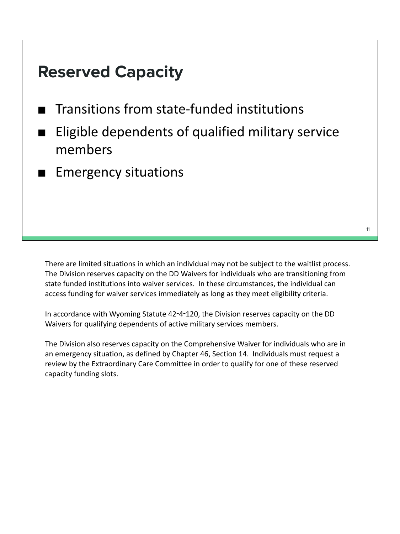#### **Reserved Capacity**

- **Transitions from state-funded institutions**
- Eligible dependents of qualified military service members
- **Emergency situations**

There are limited situations in which an individual may not be subject to the waitlist process. The Division reserves capacity on the DD Waivers for individuals who are transitioning from state funded institutions into waiver services. In these circumstances, the individual can access funding for waiver services immediately as long as they meet eligibility criteria.

In accordance with Wyoming Statute 42‑4‑120, the Division reserves capacity on the DD Waivers for qualifying dependents of active military services members.

The Division also reserves capacity on the Comprehensive Waiver for individuals who are in an emergency situation, as defined by Chapter 46, Section 14. Individuals must request a review by the Extraordinary Care Committee in order to qualify for one of these reserved capacity funding slots.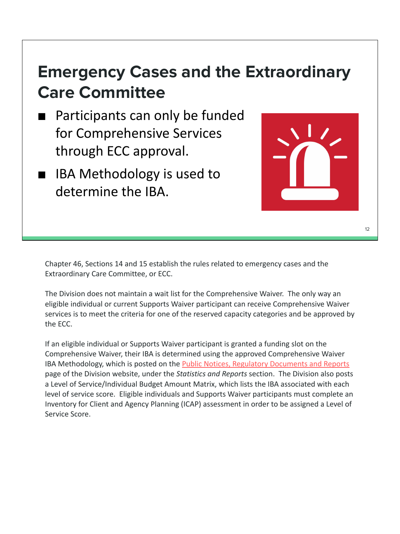#### **Emergency Cases and the Extraordinary Care Committee**

- Participants can only be funded for Comprehensive Services through ECC approval.
- IBA Methodology is used to determine the IBA.



Chapter 46, Sections 14 and 15 establish the rules related to emergency cases and the Extraordinary Care Committee, or ECC.

The Division does not maintain a wait list for the Comprehensive Waiver. The only way an eligible individual or current Supports Waiver participant can receive Comprehensive Waiver services is to meet the criteria for one of the reserved capacity categories and be approved by the ECC.

If an eligible individual or Supports Waiver participant is granted a funding slot on the Comprehensive Waiver, their IBA is determined using the approved Comprehensive Waiver IBA Methodology, which is posted on the [Public Notices, Regulatory Documents and Reports](https://health.wyo.gov/healthcarefin/hcbs/hcbs-public-notices/) page of the Division website, under the *Statistics and Reports* section. The Division also posts a Level of Service/Individual Budget Amount Matrix, which lists the IBA associated with each level of service score. Eligible individuals and Supports Waiver participants must complete an Inventory for Client and Agency Planning (ICAP) assessment in order to be assigned a Level of Service Score.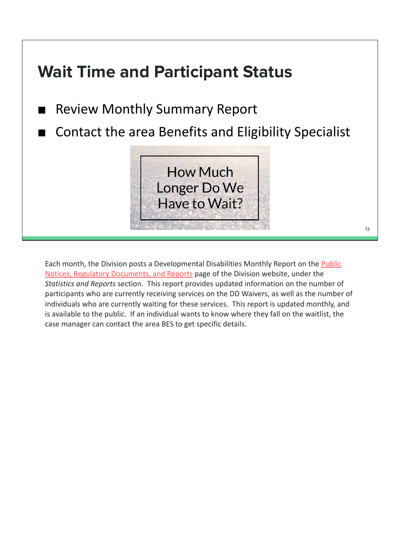## **Wait Time and Participant Status Review Monthly Summary Report** ■ Contact the area Benefits and Eligibility Specialist **How Much** Longer Do We Have to Wait?

Each month, the Division posts a Developmental Disabilities Monthly Report on the [Public](https://health.wyo.gov/healthcarefin/hcbs/hcbs-public-notices/) [Notices, Regulatory Documents, and Reports](https://health.wyo.gov/healthcarefin/hcbs/hcbs-public-notices/) page of the Division website, under the *Statistics and Reports* section. This report provides updated information on the number of participants who are currently receiving services on the DD Waivers, as well as the number of individuals who are currently waiting for these services. This report is updated monthly, and is available to the public. If an individual wants to know where they fall on the waitlist, the case manager can contact the area BES to get specific details.

13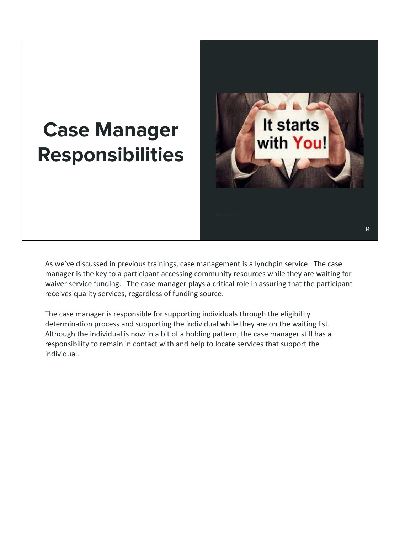### **Case Manager Responsibilities**



As we've discussed in previous trainings, case management is a lynchpin service. The case manager is the key to a participant accessing community resources while they are waiting for waiver service funding. The case manager plays a critical role in assuring that the participant receives quality services, regardless of funding source.

The case manager is responsible for supporting individuals through the eligibility determination process and supporting the individual while they are on the waiting list. Although the individual is now in a bit of a holding pattern, the case manager still has a responsibility to remain in contact with and help to locate services that support the individual.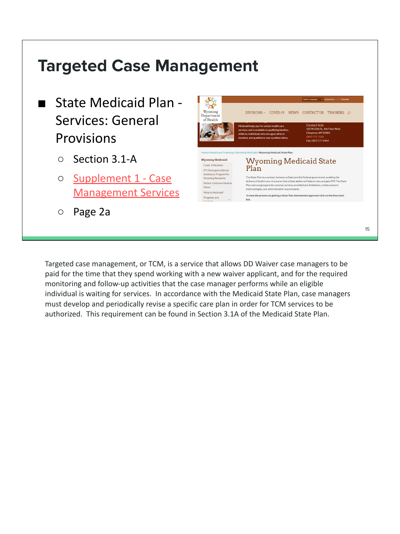

Targeted case management, or TCM, is a service that allows DD Waiver case managers to be paid for the time that they spend working with a new waiver applicant, and for the required monitoring and follow-up activities that the case manager performs while an eligible individual is waiting for services. In accordance with the Medicaid State Plan, case managers must develop and periodically revise a specific care plan in order for TCM services to be authorized. This requirement can be found in Section 3.1A of the Medicaid State Plan.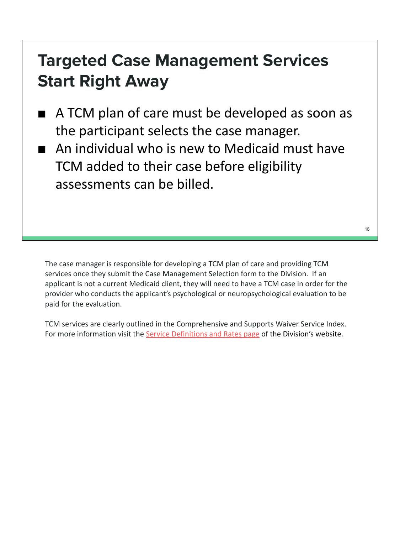#### **Targeted Case Management Services Start Right Away**

- A TCM plan of care must be developed as soon as the participant selects the case manager.
- An individual who is new to Medicaid must have TCM added to their case before eligibility assessments can be billed.

The case manager is responsible for developing a TCM plan of care and providing TCM services once they submit the Case Management Selection form to the Division. If an applicant is not a current Medicaid client, they will need to have a TCM case in order for the provider who conducts the applicant's psychological or neuropsychological evaluation to be paid for the evaluation.

TCM services are clearly outlined in the Comprehensive and Supports Waiver Service Index. For more information visit the [Service Definitions and Rates page](https://health.wyo.gov/healthcarefin/hcbs/servicesandrates/) of the Division's website.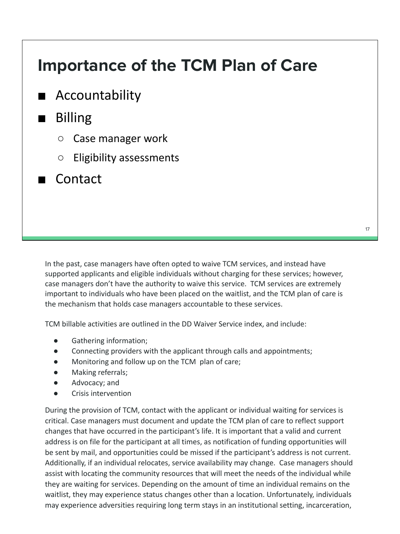#### **Importance of the TCM Plan of Care**

**Accountability** 

#### ■ Billing

- Case manager work
- Eligibility assessments
- Contact

In the past, case managers have often opted to waive TCM services, and instead have supported applicants and eligible individuals without charging for these services; however, case managers don't have the authority to waive this service. TCM services are extremely important to individuals who have been placed on the waitlist, and the TCM plan of care is the mechanism that holds case managers accountable to these services.

TCM billable activities are outlined in the DD Waiver Service index, and include:

- Gathering information;
- Connecting providers with the applicant through calls and appointments;
- Monitoring and follow up on the TCM plan of care;
- Making referrals;
- Advocacy; and
- Crisis intervention

During the provision of TCM, contact with the applicant or individual waiting for services is critical. Case managers must document and update the TCM plan of care to reflect support changes that have occurred in the participant's life. It is important that a valid and current address is on file for the participant at all times, as notification of funding opportunities will be sent by mail, and opportunities could be missed if the participant's address is not current. Additionally, if an individual relocates, service availability may change. Case managers should assist with locating the community resources that will meet the needs of the individual while they are waiting for services. Depending on the amount of time an individual remains on the waitlist, they may experience status changes other than a location. Unfortunately, individuals may experience adversities requiring long term stays in an institutional setting, incarceration,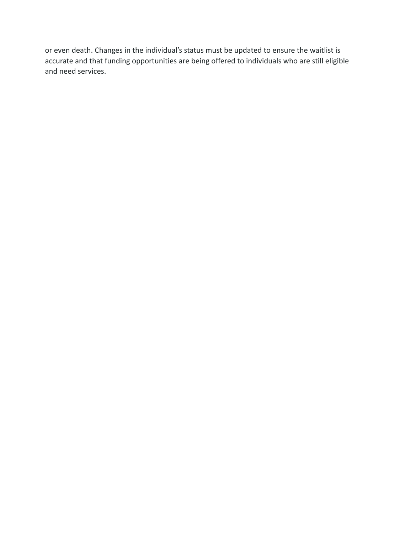or even death. Changes in the individual's status must be updated to ensure the waitlist is accurate and that funding opportunities are being offered to individuals who are still eligible and need services.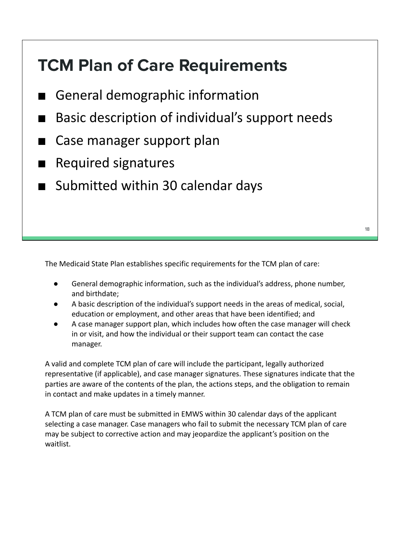#### **TCM Plan of Care Requirements**

- General demographic information
- Basic description of individual's support needs
- Case manager support plan
- Required signatures
- Submitted within 30 calendar days

The Medicaid State Plan establishes specific requirements for the TCM plan of care:

- General demographic information, such as the individual's address, phone number, and birthdate;
- A basic description of the individual's support needs in the areas of medical, social, education or employment, and other areas that have been identified; and
- A case manager support plan, which includes how often the case manager will check in or visit, and how the individual or their support team can contact the case manager.

A valid and complete TCM plan of care will include the participant, legally authorized representative (if applicable), and case manager signatures. These signatures indicate that the parties are aware of the contents of the plan, the actions steps, and the obligation to remain in contact and make updates in a timely manner.

A TCM plan of care must be submitted in EMWS within 30 calendar days of the applicant selecting a case manager. Case managers who fail to submit the necessary TCM plan of care may be subject to corrective action and may jeopardize the applicant's position on the waitlist.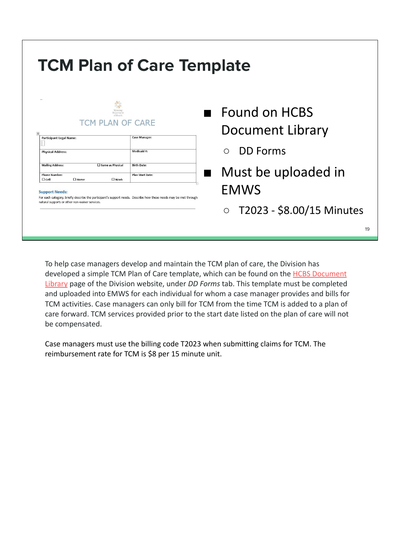| <b>TCM Plan of Care Template</b>                                                                                                                                                                                                                                                                                   |                                                    |                                                                                          |  |  |  |  |  |  |  |  |
|--------------------------------------------------------------------------------------------------------------------------------------------------------------------------------------------------------------------------------------------------------------------------------------------------------------------|----------------------------------------------------|------------------------------------------------------------------------------------------|--|--|--|--|--|--|--|--|
| TCM PLAN OF CARE<br><b>Participant Legal Name:</b><br><b>Physical Address:</b>                                                                                                                                                                                                                                     | <b>Case Manager:</b><br>Medicaid #:                | $\blacksquare$ Found on HCBS<br><b>Document Library</b><br><b>DD</b> Forms<br>$\bigcirc$ |  |  |  |  |  |  |  |  |
| Same as Physical<br><b>Mailing Address:</b><br><b>Phone Number:</b><br>$\Box$ Home<br>$\Box$ Cell<br>$\square$ Work<br><b>Support Needs:</b><br>For each category, briefly describe the participant's support needs. Describe how these needs may be met through<br>natural supports or other non-waiver services. | <b>Birth Date:</b><br>٠<br><b>Plan Start Date:</b> | Must be uploaded in<br><b>EMWS</b><br>T2023 - \$8.00/15 Minutes<br>$\circ$               |  |  |  |  |  |  |  |  |

To help case managers develop and maintain the TCM plan of care, the Division has developed a simple TCM Plan of Care template, which can be found on the **[HCBS Document](https://health.wyo.gov/healthcarefin/hcbs/document-library/)** [Library](https://health.wyo.gov/healthcarefin/hcbs/document-library/) page of the Division website, under *DD Forms* tab. This template must be completed and uploaded into EMWS for each individual for whom a case manager provides and bills for TCM activities. Case managers can only bill for TCM from the time TCM is added to a plan of care forward. TCM services provided prior to the start date listed on the plan of care will not be compensated.

Case managers must use the billing code T2023 when submitting claims for TCM. The reimbursement rate for TCM is \$8 per 15 minute unit.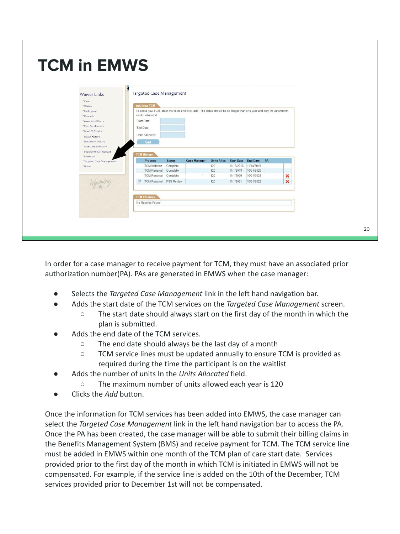| <b>TCM in EMWS</b>                                                                  |           |                                                        |                           |                                                                                                                         |                               |                        |                          |    |   |  |  |
|-------------------------------------------------------------------------------------|-----------|--------------------------------------------------------|---------------------------|-------------------------------------------------------------------------------------------------------------------------|-------------------------------|------------------------|--------------------------|----|---|--|--|
| <b>Waiver Links</b><br>"Case                                                        |           | Targeted Case Management                               |                           |                                                                                                                         |                               |                        |                          |    |   |  |  |
| - Waiver<br>- Participant<br>" Contacts<br>"Associated Users<br>* Plan Enrollments  | End Date: | <b>Add New TCM</b><br>can be allocated.<br>Start Date: |                           | To add a new TCM, enter the fields and click 'add'. The dates should be no longer than one year and only 10 units/month |                               |                        |                          |    |   |  |  |
| "Level Of Service<br>" Letter History<br>* Document Library<br>" Assessment History |           | Units Allocated:<br>Add                                |                           |                                                                                                                         |                               |                        |                          |    |   |  |  |
| "Supplemental Requests<br>- Processes                                               |           | <b>TCM History</b>                                     |                           |                                                                                                                         |                               |                        |                          |    |   |  |  |
| "Targeted Case Management<br>"Notes                                                 |           | Process<br><b>TCM</b> Initiation                       | <b>Status</b><br>Complete | <b>Case Manager</b>                                                                                                     | Units Alloc Start Date<br>120 | 11/15/2018 11/14/2019  | <b>End Date</b>          | PA |   |  |  |
|                                                                                     |           | <b>TCM Renewal</b><br><b>TCM Renewal</b>               | Complete<br>Complete      |                                                                                                                         | 120<br>120                    | 11/1/2019<br>11/1/2020 | 10/31/2020<br>10/31/2021 |    | × |  |  |
|                                                                                     | E.        | <b>TCM Renewal</b>                                     | PSS Review                |                                                                                                                         | 120                           | 11/1/2021              | 10/31/2022               |    | × |  |  |
|                                                                                     |           | <b>TCM Closures</b>                                    |                           |                                                                                                                         |                               |                        |                          |    |   |  |  |
|                                                                                     |           | No Records Found                                       |                           |                                                                                                                         |                               |                        |                          |    |   |  |  |
|                                                                                     |           |                                                        |                           |                                                                                                                         |                               |                        |                          |    |   |  |  |
|                                                                                     |           |                                                        |                           |                                                                                                                         |                               |                        |                          |    |   |  |  |
|                                                                                     |           |                                                        |                           |                                                                                                                         |                               |                        |                          |    |   |  |  |

In order for a case manager to receive payment for TCM, they must have an associated prior authorization number(PA). PAs are generated in EMWS when the case manager:

- Selects the *Targeted Case Management* link in the left hand navigation bar.
- Adds the start date of the TCM services on the *Targeted Case Management* screen.
	- The start date should always start on the first day of the month in which the plan is submitted.
- Adds the end date of the TCM services.
	- The end date should always be the last day of a month
	- TCM service lines must be updated annually to ensure TCM is provided as required during the time the participant is on the waitlist
- Adds the number of units In the *Units Allocated* field.
	- The maximum number of units allowed each year is 120
- Clicks the *Add* button.

Once the information for TCM services has been added into EMWS, the case manager can select the *Targeted Case Management* link in the left hand navigation bar to access the PA. Once the PA has been created, the case manager will be able to submit their billing claims in the Benefits Management System (BMS) and receive payment for TCM. The TCM service line must be added in EMWS within one month of the TCM plan of care start date. Services provided prior to the first day of the month in which TCM is initiated in EMWS will not be compensated. For example, if the service line is added on the 10th of the December, TCM services provided prior to December 1st will not be compensated.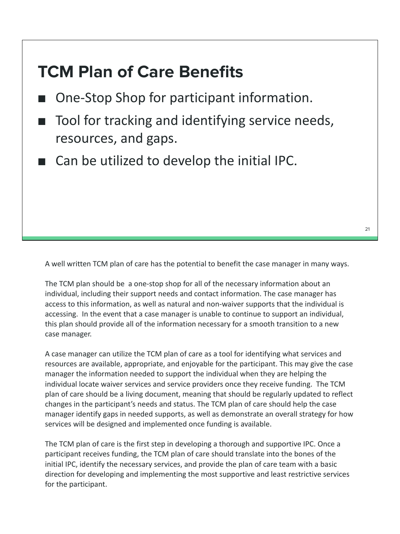#### **TCM Plan of Care Benefits**

- One-Stop Shop for participant information.
- Tool for tracking and identifying service needs, resources, and gaps.
- Can be utilized to develop the initial IPC.

A well written TCM plan of care has the potential to benefit the case manager in many ways.

The TCM plan should be a one-stop shop for all of the necessary information about an individual, including their support needs and contact information. The case manager has access to this information, as well as natural and non-waiver supports that the individual is accessing. In the event that a case manager is unable to continue to support an individual, this plan should provide all of the information necessary for a smooth transition to a new case manager.

A case manager can utilize the TCM plan of care as a tool for identifying what services and resources are available, appropriate, and enjoyable for the participant. This may give the case manager the information needed to support the individual when they are helping the individual locate waiver services and service providers once they receive funding. The TCM plan of care should be a living document, meaning that should be regularly updated to reflect changes in the participant's needs and status. The TCM plan of care should help the case manager identify gaps in needed supports, as well as demonstrate an overall strategy for how services will be designed and implemented once funding is available.

The TCM plan of care is the first step in developing a thorough and supportive IPC. Once a participant receives funding, the TCM plan of care should translate into the bones of the initial IPC, identify the necessary services, and provide the plan of care team with a basic direction for developing and implementing the most supportive and least restrictive services for the participant.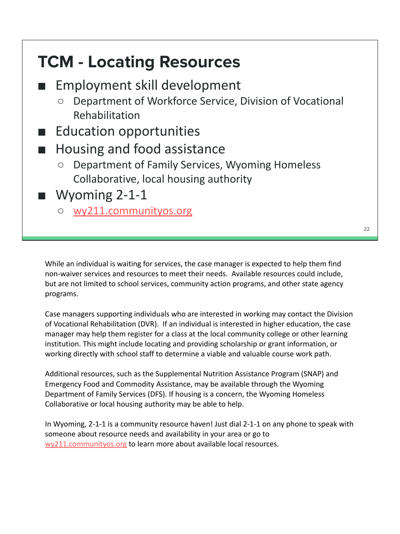### **TCM - Locating Resources**

- Employment skill development
	- Department of Workforce Service, Division of Vocational Rehabilitation
- Education opportunities
- Housing and food assistance
	- Department of Family Services, Wyoming Homeless Collaborative, local housing authority
- Wyoming 2-1-1

○ [wy211.communityos.org](http://www.wy211.communityos.org)

22

While an individual is waiting for services, the case manager is expected to help them find non-waiver services and resources to meet their needs. Available resources could include, but are not limited to school services, community action programs, and other state agency programs.

Case managers supporting individuals who are interested in working may contact the Division of Vocational Rehabilitation (DVR). If an individual is interested in higher education, the case manager may help them register for a class at the local community college or other learning institution. This might include locating and providing scholarship or grant information, or working directly with school staff to determine a viable and valuable course work path.

Additional resources, such as the Supplemental Nutrition Assistance Program (SNAP) and Emergency Food and Commodity Assistance, may be available through the Wyoming Department of Family Services (DFS). If housing is a concern, the Wyoming Homeless Collaborative or local housing authority may be able to help.

In Wyoming, 2-1-1 is a community resource haven! Just dial 2-1-1 on any phone to speak with someone about resource needs and availability in your area or go to [wy211.communityos.org](http://wy211.communityos.org) to learn more about available local resources.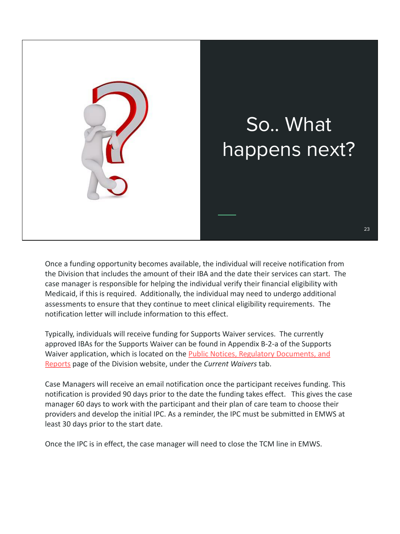

Once a funding opportunity becomes available, the individual will receive notification from the Division that includes the amount of their IBA and the date their services can start. The case manager is responsible for helping the individual verify their financial eligibility with Medicaid, if this is required. Additionally, the individual may need to undergo additional assessments to ensure that they continue to meet clinical eligibility requirements. The notification letter will include information to this effect.

Typically, individuals will receive funding for Supports Waiver services. The currently approved IBAs for the Supports Waiver can be found in Appendix B-2-a of the Supports Waiver application, which is located on the **Public Notices**, Regulatory Documents, and [Reports](https://health.wyo.gov/healthcarefin/hcbs/hcbs-public-notices/) page of the Division website, under the *Current Waivers* tab.

Case Managers will receive an email notification once the participant receives funding. This notification is provided 90 days prior to the date the funding takes effect. This gives the case manager 60 days to work with the participant and their plan of care team to choose their providers and develop the initial IPC. As a reminder, the IPC must be submitted in EMWS at least 30 days prior to the start date.

Once the IPC is in effect, the case manager will need to close the TCM line in EMWS.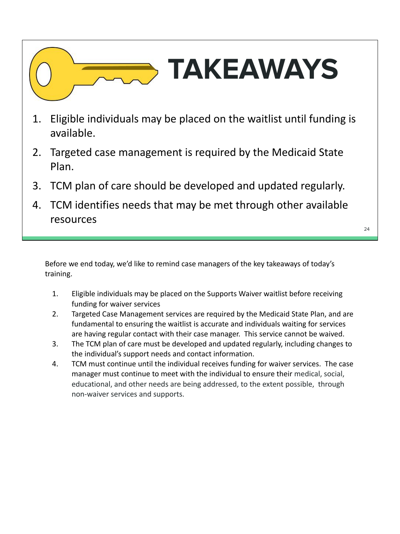# **TAKEAWAYS**

- 1. Eligible individuals may be placed on the waitlist until funding is available.
- 2. Targeted case management is required by the Medicaid State Plan.
- 3. TCM plan of care should be developed and updated regularly.
- 4. TCM identifies needs that may be met through other available resources

Before we end today, we'd like to remind case managers of the key takeaways of today's training.

- 1. Eligible individuals may be placed on the Supports Waiver waitlist before receiving funding for waiver services
- 2. Targeted Case Management services are required by the Medicaid State Plan, and are fundamental to ensuring the waitlist is accurate and individuals waiting for services are having regular contact with their case manager. This service cannot be waived.
- 3. The TCM plan of care must be developed and updated regularly, including changes to the individual's support needs and contact information.
- 4. TCM must continue until the individual receives funding for waiver services. The case manager must continue to meet with the individual to ensure their medical, social, educational, and other needs are being addressed, to the extent possible, through non-waiver services and supports.

24